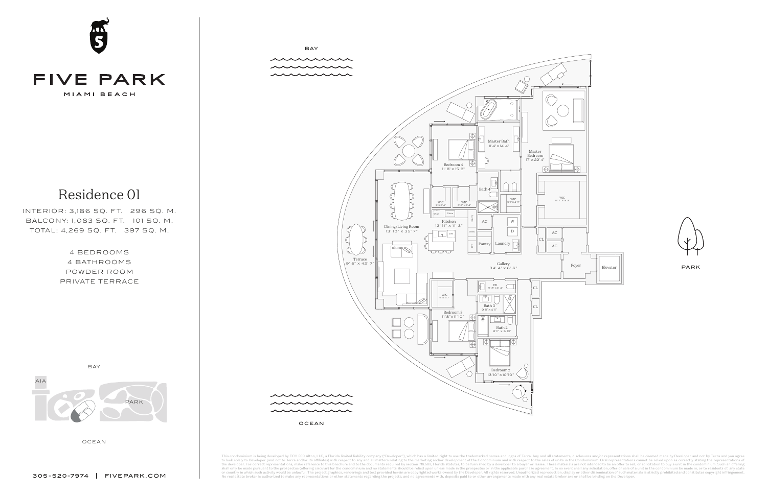4 BEDROOMS 4 BATHROOMS POWDER ROOM PRIVATE TERRACE





Residence 01

INTERIOR: 3,186 SQ. FT. 296 SQ. M. BALCONY: 1,083 SQ. FT. 101 SQ. M. TOTAL: 4,269 SQ. FT. 397 SQ. M.



minium is being developed by TCH 500 Alton, LLC, a Florida limited liability company ("Developer"), which has a limited right to use the trademarked names and logos of Terra. Any and all statements, disclosures and/or repr to look solely to Developer (and not to Terra and/or its affiliates) with respect to any and all matters relating to the marketing and/or development of the Condominium and with respect to the sales of units in the Condomi No real estate broker is authorized to make any representations or other statements regarding the projects, and no agreements with, deposits paid to or other arrangements made with any real estate broker are or shall be bi

OCEAN





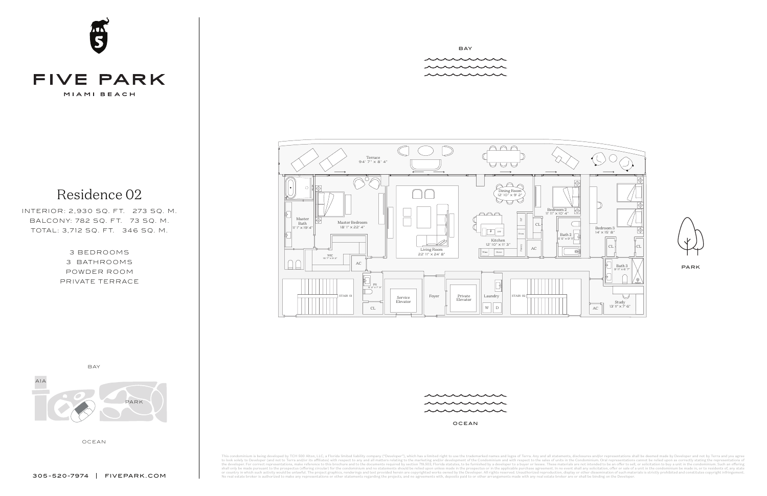

## **FIVE PARK**

MIAMI BEACH

OCEAN



BAY munne

munne munnu

3 BEDROOMS 3 BATHROOMS POWDER ROOM PRIVATE TERRACE

### Residence 02

INTERIOR: 2,930 SQ. FT. 273 SQ. M. BALCONY: 782 SQ. FT. 73 SQ. M. TOTAL: 3,712 SQ. FT. 346 SQ. M.



OCEAN

This condominium is being developed by TCH 500 Alton, LLC, a Florida limited liability company ("Developer"), which has a limited right to use the trademarked names and logos of Terra. Any and all statements, disclosures a to look solely to Developer (and not to Terra and/or its affiliates) with respect to any and all matters relating to the marketing and/or development of the Condominium and with respect to the sales of units in the Condomi No real estate broker is authorized to make any representations or other statements regarding the projects, and no agreements with, deposits paid to or other arrangements made with any real estate broker are or shall be bi



```
PARK
```


munnun munne munn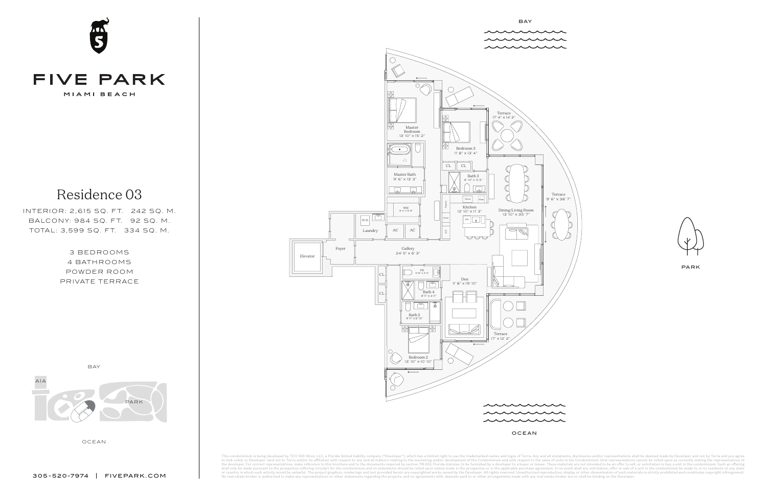

#### **FIVE PARK** MIAMI BEACH

OCEAN



3 BEDROOMS 4 BATHROOMS POWDER ROOM PRIVATE TERRACE

Residence 03

INTERIOR: 2,615 SQ. FT. 242 SQ. M. BALCONY: 984 SQ. FT. 92 SQ. M. TOTAL: 3,599 SQ. FT. 334 SQ. M.





This condominium is being developed by TCH 500 Alton, LLC, a Florida limited liability company ("Developer"), which has a limited right to use the trademarked names and logos of Terra. Any and all statements, disclosures a to look solely to Developer (and not to Terra and/or its affiliates) with respect to any and all matters relating to the marketing and/or development of the Condominium and with respect to the sales of units in the Condomi No real estate broker is authorized to make any representations or other statements regarding the projects, and no agreements with, deposits paid to or other arrangements made with any real estate broker are or shall be bi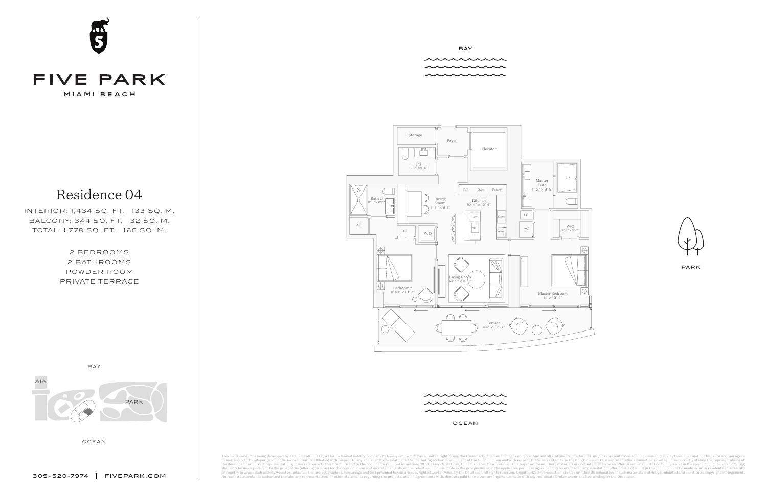OCEAN





# **04** MIAMI BEACH

2 BEDROOMS 2 BATHROOMS POWDER ROOM

PRIVATE TERRACE

Residence 04

INTERIOR: 1,434 SQ. FT. 133 SQ. M. BALCONY: 344 SQ. FT. 32 SQ. M. TOTAL: 1,778 SQ. FT. 165 SQ. M.

OCEAN

This condominium is being developed by TCH 500 Alton, LLC, a Florida limited liability company ("Developer"), which has a limited right to use the trademarked names and logos of Terra. Any and all statements, disclosures a to look solely to Developer (and not to Terra and/or its affiliates) with respect to any and all matters relating to the marketing and/or development of the Condominium and with respect to the sales of units in the Condomi No real estate broker is authorized to make any representations or other statements regarding the projects, and no agreements with, deposits paid to or other arrangements made with any real estate broker are or shall be bi

305-520-7974 FIVEPARK.COM



BAY

munne munne munnu



FIVE PARK / UNIT Y